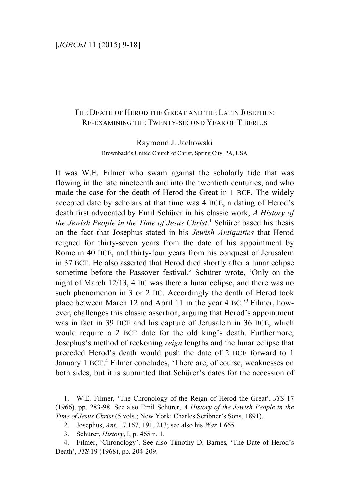## THE DEATH OF HEROD THE GREAT AND THE LATIN JOSEPHUS: RE-EXAMINING THE TWENTY-SECOND YEAR OF TIBERIUS

Raymond J. Jachowski

Brownback's United Church of Christ, Spring City, PA, USA

It was W.E. Filmer who swam against the scholarly tide that was flowing in the late nineteenth and into the twentieth centuries, and who made the case for the death of Herod the Great in 1 BCE. The widely accepted date by scholars at that time was 4 BCE, a dating of Herod's death first advocated by Emil Schürer in his classic work, *A History of the Jewish People in the Time of Jesus Christ*. <sup>1</sup> Schürer based his thesis on the fact that Josephus stated in his *Jewish Antiquities* that Herod reigned for thirty-seven years from the date of his appointment by Rome in 40 BCE, and thirty-four years from his conquest of Jerusalem in 37 BCE. He also asserted that Herod died shortly after a lunar eclipse sometime before the Passover festival.<sup>2</sup> Schürer wrote, 'Only on the night of March 12/13, 4 BC was there a lunar eclipse, and there was no such phenomenon in 3 or 2 BC. Accordingly the death of Herod took place between March 12 and April 11 in the year 4 BC.'<sup>3</sup> Filmer, however, challenges this classic assertion, arguing that Herod's appointment was in fact in 39 BCE and his capture of Jerusalem in 36 BCE, which would require a 2 BCE date for the old king's death. Furthermore, Josephus's method of reckoning *reign* lengths and the lunar eclipse that preceded Herod's death would push the date of 2 BCE forward to 1 January 1 BCE.<sup>4</sup> Filmer concludes, 'There are, of course, weaknesses on both sides, but it is submitted that Schürer's dates for the accession of

<sup>1.</sup> W.E. Filmer, 'The Chronology of the Reign of Herod the Great', *JTS* 17 (1966), pp. 283-98. See also Emil Schürer, *A History of the Jewish People in the Time of Jesus Christ* (5 vols.; New York: Charles Scribner's Sons, 1891).

<sup>2.</sup> Josephus, *Ant*. 17.167, 191, 213; see also his *War* 1.665.

<sup>3.</sup> Schürer, *History*, I, p. 465 n. 1.

<sup>4.</sup> Filmer, 'Chronology'. See also Timothy D. Barnes, 'The Date of Herod's Death', *JTS* 19 (1968), pp. 204-209.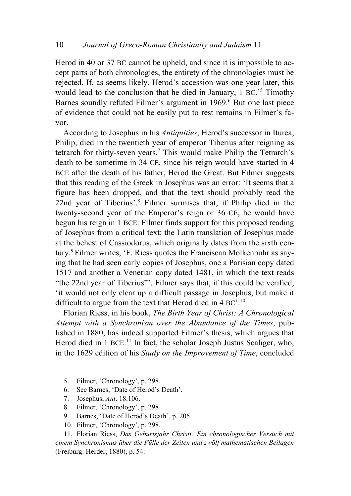Herod in 40 or 37 BC cannot be upheld, and since it is impossible to accept parts of both chronologies, the entirety of the chronologies must be rejected. If, as seems likely, Herod's accession was one year later, this would lead to the conclusion that he died in January, 1 BC.<sup>'5</sup> Timothy Barnes soundly refuted Filmer's argument in 1969.6 But one last piece of evidence that could not be easily put to rest remains in Filmer's favor.

According to Josephus in his *Antiquities*, Herod's successor in Iturea, Philip, died in the twentieth year of emperor Tiberius after reigning as tetrarch for thirty-seven years.7 This would make Philip the Tetrarch's death to be sometime in 34 CE, since his reign would have started in 4 BCE after the death of his father, Herod the Great. But Filmer suggests that this reading of the Greek in Josephus was an error: 'It seems that a figure has been dropped, and that the text should probably read the 22nd year of Tiberius'.8 Filmer surmises that, if Philip died in the twenty-second year of the Emperor's reign or 36 CE, he would have begun his reign in 1 BCE. Filmer finds support for this proposed reading of Josephus from a critical text: the Latin translation of Josephus made at the behest of Cassiodorus, which originally dates from the sixth century.9 Filmer writes, 'F. Riess quotes the Franciscan Molkenbuhr as saying that he had seen early copies of Josephus, one a Parisian copy dated 1517 and another a Venetian copy dated 1481, in which the text reads "the 22nd year of Tiberius"'. Filmer says that, if this could be verified, 'it would not only clear up a difficult passage in Josephus, but make it difficult to argue from the text that Herod died in 4 BC'.<sup>10</sup>

Florian Riess, in his book, *The Birth Year of Christ: A Chronological Attempt with a Synchronism over the Abundance of the Times*, published in 1880, has indeed supported Filmer's thesis, which argues that Herod died in 1 BCE.<sup>11</sup> In fact, the scholar Joseph Justus Scaliger, who, in the 1629 edition of his *Study on the Improvement of Time*, concluded

- 5. Filmer, 'Chronology', p. 298.
- 6. See Barnes, 'Date of Herod's Death'.
- 7. Josephus, *Ant*. 18.106.
- 8. Filmer, 'Chronology', p. 298
- 9. Barnes, 'Date of Herod's Death', p. 205.
- 10. Filmer, 'Chronology', p. 298.

11. Florian Riess, *Das Geburtsjahr Christi: Ein chronologischer Versuch mit einem Synchronismus über die Fülle der Zeiten und zwölf mathematischen Beilagen* (Freiburg: Herder, 1880), p. 54.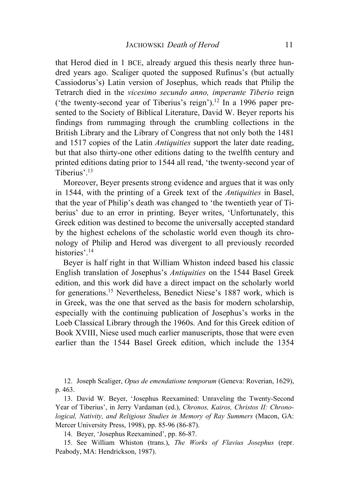that Herod died in 1 BCE, already argued this thesis nearly three hundred years ago. Scaliger quoted the supposed Rufinus's (but actually Cassiodorus's) Latin version of Josephus, which reads that Philip the Tetrarch died in the *vicesimo secundo anno, imperante Tiberio* reign ('the twenty-second year of Tiberius's reign'). <sup>12</sup> In a 1996 paper presented to the Society of Biblical Literature, David W. Beyer reports his findings from rummaging through the crumbling collections in the British Library and the Library of Congress that not only both the 1481 and 1517 copies of the Latin *Antiquities* support the later date reading, but that also thirty-one other editions dating to the twelfth century and printed editions dating prior to 1544 all read, 'the twenty-second year of Tiberius'.13

Moreover, Beyer presents strong evidence and argues that it was only in 1544, with the printing of a Greek text of the *Antiquities* in Basel, that the year of Philip's death was changed to 'the twentieth year of Tiberius' due to an error in printing. Beyer writes, 'Unfortunately, this Greek edition was destined to become the universally accepted standard by the highest echelons of the scholastic world even though its chronology of Philip and Herod was divergent to all previously recorded histories'.<sup>14</sup>

Beyer is half right in that William Whiston indeed based his classic English translation of Josephus's *Antiquities* on the 1544 Basel Greek edition, and this work did have a direct impact on the scholarly world for generations. <sup>15</sup> Nevertheless, Benedict Niese's 1887 work, which is in Greek, was the one that served as the basis for modern scholarship, especially with the continuing publication of Josephus's works in the Loeb Classical Library through the 1960s. And for this Greek edition of Book XVIII, Niese used much earlier manuscripts, those that were even earlier than the 1544 Basel Greek edition, which include the 1354

12. Joseph Scaliger, *Opus de emendatione temporum* (Geneva: Roverian, 1629), p. 463.

13. David W. Beyer, 'Josephus Reexamined: Unraveling the Twenty-Second Year of Tiberius', in Jerry Vardaman (ed.), *Chronos, Kairos, Christos II: Chronological, Nativity, and Religious Studies in Memory of Ray Summers* (Macon, GA: Mercer University Press, 1998), pp. 85-96 (86-87).

14. Beyer, 'Josephus Reexamined', pp. 86-87.

15. See William Whiston (trans.), *The Works of Flavius Josephus* (repr. Peabody, MA: Hendrickson, 1987).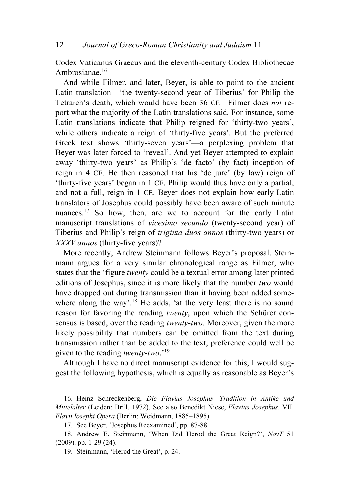Codex Vaticanus Graecus and the eleventh-century Codex Bibliothecae Ambrosianae.16

And while Filmer, and later, Beyer, is able to point to the ancient Latin translation—'the twenty-second year of Tiberius' for Philip the Tetrarch's death, which would have been 36 CE—Filmer does *not* report what the majority of the Latin translations said. For instance, some Latin translations indicate that Philip reigned for 'thirty-two years', while others indicate a reign of 'thirty-five years'. But the preferred Greek text shows 'thirty-seven years'—a perplexing problem that Beyer was later forced to 'reveal'. And yet Beyer attempted to explain away 'thirty-two years' as Philip's 'de facto' (by fact) inception of reign in 4 CE. He then reasoned that his 'de jure' (by law) reign of 'thirty-five years' began in 1 CE. Philip would thus have only a partial, and not a full, reign in 1 CE. Beyer does not explain how early Latin translators of Josephus could possibly have been aware of such minute nuances.<sup>17</sup> So how, then, are we to account for the early Latin manuscript translations of *vicesimo secundo* (twenty-second year) of Tiberius and Philip's reign of *triginta duos annos* (thirty-two years) or *XXXV annos* (thirty-five years)?

More recently, Andrew Steinmann follows Beyer's proposal. Steinmann argues for a very similar chronological range as Filmer, who states that the 'figure *twenty* could be a textual error among later printed editions of Josephus, since it is more likely that the number *two* would have dropped out during transmission than it having been added somewhere along the way'.<sup>18</sup> He adds, 'at the very least there is no sound reason for favoring the reading *twenty*, upon which the Schürer consensus is based, over the reading *twenty-two.* Moreover, given the more likely possibility that numbers can be omitted from the text during transmission rather than be added to the text, preference could well be given to the reading *twenty-two*.' 19

Although I have no direct manuscript evidence for this, I would suggest the following hypothesis, which is equally as reasonable as Beyer's

16. Heinz Schreckenberg, *Die Flavius Josephus—Tradition in Antike und Mittelalter* (Leiden: Brill, 1972). See also Benedikt Niese, *Flavius Josephus*. VII. *Flavii Iosephi Opera* (Berlin: Weidmann, 1885–1895).

17. See Beyer, 'Josephus Reexamined', pp. 87-88.

18. Andrew E. Steinmann, 'When Did Herod the Great Reign?', *NovT* 51 (2009), pp. 1-29 (24).

19. Steinmann, 'Herod the Great', p. 24.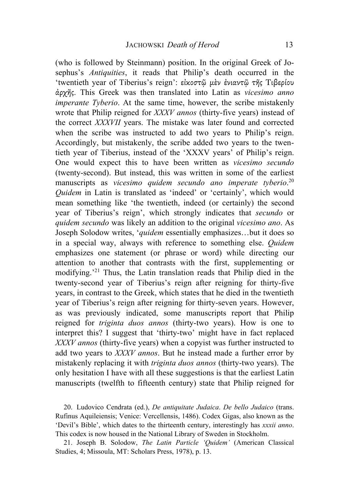(who is followed by Steinmann) position. In the original Greek of Josephus's *Antiquities*, it reads that Philip's death occurred in the 'twentieth year of Tiberius's reign': εἰκοστῷ µὲν ἐνιαντῷ τῆς Τιβερίου ἀρχῆς. This Greek was then translated into Latin as *vicesimo anno imperante Tyberio*. At the same time, however, the scribe mistakenly wrote that Philip reigned for *XXXV annos* (thirty-five years) instead of the correct *XXXVII* years. The mistake was later found and corrected when the scribe was instructed to add two years to Philip's reign. Accordingly, but mistakenly, the scribe added two years to the twentieth year of Tiberius, instead of the 'XXXV years' of Philip's reign. One would expect this to have been written as *vicesimo secundo* (twenty-second). But instead, this was written in some of the earliest manuscripts as *vicesimo quidem secundo ano imperate tyberio*. 20 *Quidem* in Latin is translated as 'indeed' or 'certainly', which would mean something like 'the twentieth, indeed (or certainly) the second year of Tiberius's reign', which strongly indicates that *secundo* or *quidem secundo* was likely an addition to the original *vicesimo ano*. As Joseph Solodow writes, '*quidem* essentially emphasizes…but it does so in a special way, always with reference to something else. *Quidem* emphasizes one statement (or phrase or word) while directing our attention to another that contrasts with the first, supplementing or modifying.' <sup>21</sup> Thus, the Latin translation reads that Philip died in the twenty-second year of Tiberius's reign after reigning for thirty-five years, in contrast to the Greek, which states that he died in the twentieth year of Tiberius's reign after reigning for thirty-seven years. However, as was previously indicated, some manuscripts report that Philip reigned for *triginta duos annos* (thirty-two years). How is one to interpret this? I suggest that 'thirty-two' might have in fact replaced *XXXV annos* (thirty-five years) when a copyist was further instructed to add two years to *XXXV annos*. But he instead made a further error by mistakenly replacing it with *triginta duos annos* (thirty-two years). The only hesitation I have with all these suggestions is that the earliest Latin manuscripts (twelfth to fifteenth century) state that Philip reigned for

20. Ludovico Cendrata (ed.), *De antiquitate Judaica*. *De bello Judaico* (trans. Rufinus Aquileiensis; Venice: Vercellensis, 1486). Codex Gigas, also known as the 'Devil's Bible', which dates to the thirteenth century, interestingly has *xxxii anno*. This codex is now housed in the National Library of Sweden in Stockholm.

21. Joseph B. Solodow, *The Latin Particle 'Quidem'* (American Classical Studies, 4; Missoula, MT: Scholars Press, 1978), p. 13.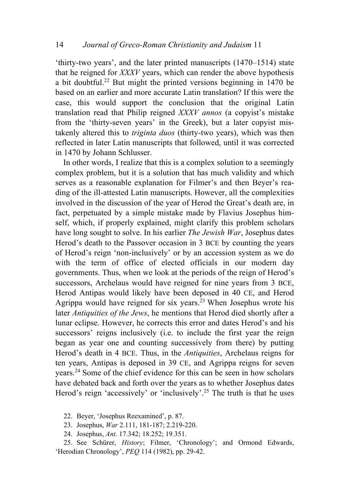'thirty-two years', and the later printed manuscripts (1470–1514) state that he reigned for *XXXV* years, which can render the above hypothesis a bit doubtful.<sup>22</sup> But might the printed versions beginning in  $1470$  be based on an earlier and more accurate Latin translation? If this were the case, this would support the conclusion that the original Latin translation read that Philip reigned *XXXV annos* (a copyist's mistake from the 'thirty-seven years' in the Greek), but a later copyist mistakenly altered this to *triginta duos* (thirty-two years), which was then reflected in later Latin manuscripts that followed, until it was corrected in 1470 by Johann Schlusser.

In other words, I realize that this is a complex solution to a seemingly complex problem, but it is a solution that has much validity and which serves as a reasonable explanation for Filmer's and then Beyer's reading of the ill-attested Latin manuscripts. However, all the complexities involved in the discussion of the year of Herod the Great's death are, in fact, perpetuated by a simple mistake made by Flavius Josephus himself, which, if properly explained, might clarify this problem scholars have long sought to solve. In his earlier *The Jewish War*, Josephus dates Herod's death to the Passover occasion in 3 BCE by counting the years of Herod's reign 'non-inclusively' or by an accession system as we do with the term of office of elected officials in our modern day governments. Thus, when we look at the periods of the reign of Herod's successors, Archelaus would have reigned for nine years from 3 BCE, Herod Antipas would likely have been deposed in 40 CE, and Herod Agrippa would have reigned for six years.23 When Josephus wrote his later *Antiquities of the Jews*, he mentions that Herod died shortly after a lunar eclipse. However, he corrects this error and dates Herod's and his successors' reigns inclusively (i.e. to include the first year the reign began as year one and counting successively from there) by putting Herod's death in 4 BCE. Thus, in the *Antiquities*, Archelaus reigns for ten years, Antipas is deposed in 39 CE, and Agrippa reigns for seven years.24 Some of the chief evidence for this can be seen in how scholars have debated back and forth over the years as to whether Josephus dates Herod's reign 'accessively' or 'inclusively'.<sup>25</sup> The truth is that he uses

22. Beyer, 'Josephus Reexamined', p. 87.

23. Josephus, *War* 2.111, 181-187; 2.219-220.

24. Josephus, *Ant*. 17.342; 18.252; 19.351.

25. See Schürer, *History*; Filmer, 'Chronology'; and Ormond Edwards, 'Herodian Chronology', *PEQ* 114 (1982), pp. 29-42.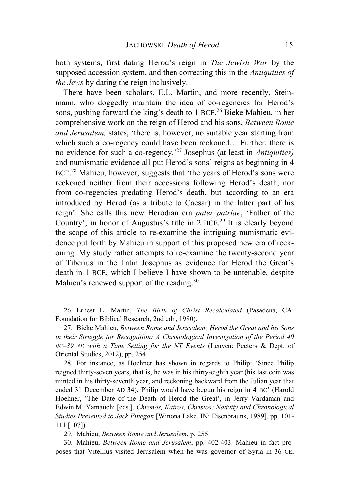both systems, first dating Herod's reign in *The Jewish War* by the supposed accession system, and then correcting this in the *Antiquities of the Jews* by dating the reign inclusively.

There have been scholars, E.L. Martin, and more recently, Steinmann, who doggedly maintain the idea of co-regencies for Herod's sons, pushing forward the king's death to 1 BCE. <sup>26</sup> Bieke Mahieu, in her comprehensive work on the reign of Herod and his sons, *Between Rome and Jerusalem,* states, 'there is, however, no suitable year starting from which such a co-regency could have been reckoned… Further, there is no evidence for such a co-regency.' <sup>27</sup> Josephus (at least in *Antiquities)*  and numismatic evidence all put Herod's sons' reigns as beginning in 4 BCE.<sup>28</sup> Mahieu, however, suggests that 'the years of Herod's sons were reckoned neither from their accessions following Herod's death, nor from co-regencies predating Herod's death, but according to an era introduced by Herod (as a tribute to Caesar) in the latter part of his reign'. She calls this new Herodian era *pater patriae*, 'Father of the Country', in honor of Augustus's title in 2 BCE. <sup>29</sup> It is clearly beyond the scope of this article to re-examine the intriguing numismatic evidence put forth by Mahieu in support of this proposed new era of reckoning. My study rather attempts to re-examine the twenty-second year of Tiberius in the Latin Josephus as evidence for Herod the Great's death in 1 BCE, which I believe I have shown to be untenable, despite Mahieu's renewed support of the reading.<sup>30</sup>

26. Ernest L. Martin, *The Birth of Christ Recalculated* (Pasadena, CA: Foundation for Biblical Research, 2nd edn, 1980).

27. Bieke Mahieu, *Between Rome and Jerusalem: Herod the Great and his Sons in their Struggle for Recognition: A Chronological Investigation of the Period 40 BC–39 AD with a Time Setting for the NT Events* (Leuven: Peeters & Dept. of Oriental Studies, 2012), pp. 254.

28. For instance, as Hoehner has shown in regards to Philip: 'Since Philip reigned thirty-seven years, that is, he was in his thirty-eighth year (his last coin was minted in his thirty-seventh year, and reckoning backward from the Julian year that ended 31 December AD 34), Philip would have begun his reign in 4 BC' (Harold Hoehner, 'The Date of the Death of Herod the Great', in Jerry Vardaman and Edwin M. Yamauchi [eds.], *Chronos, Kairos, Christos: Nativity and Chronological Studies Presented to Jack Finegan* [Winona Lake, IN: Eisenbrauns, 1989], pp. 101- 111 [107]).

29. Mahieu, *Between Rome and Jerusalem*, p. 255.

30. Mahieu, *Between Rome and Jerusalem*, pp. 402-403. Mahieu in fact proposes that Vitellius visited Jerusalem when he was governor of Syria in 36 CE,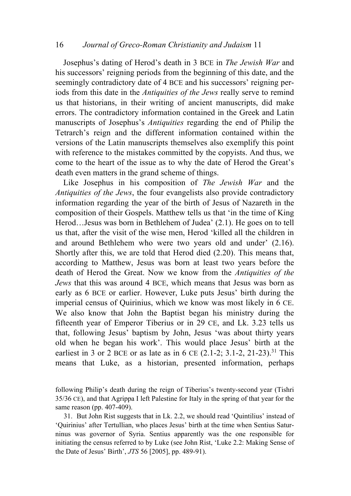Josephus's dating of Herod's death in 3 BCE in *The Jewish War* and his successors' reigning periods from the beginning of this date, and the seemingly contradictory date of 4 BCE and his successors' reigning periods from this date in the *Antiquities of the Jews* really serve to remind us that historians, in their writing of ancient manuscripts, did make errors. The contradictory information contained in the Greek and Latin manuscripts of Josephus's *Antiquities* regarding the end of Philip the Tetrarch's reign and the different information contained within the versions of the Latin manuscripts themselves also exemplify this point with reference to the mistakes committed by the copyists. And thus, we come to the heart of the issue as to why the date of Herod the Great's death even matters in the grand scheme of things.

Like Josephus in his composition of *The Jewish War* and the *Antiquities of the Jews*, the four evangelists also provide contradictory information regarding the year of the birth of Jesus of Nazareth in the composition of their Gospels. Matthew tells us that 'in the time of King Herod…Jesus was born in Bethlehem of Judea' (2.1). He goes on to tell us that, after the visit of the wise men, Herod 'killed all the children in and around Bethlehem who were two years old and under' (2.16). Shortly after this, we are told that Herod died (2.20). This means that, according to Matthew, Jesus was born at least two years before the death of Herod the Great. Now we know from the *Antiquities of the Jews* that this was around 4 BCE, which means that Jesus was born as early as 6 BCE or earlier. However, Luke puts Jesus' birth during the imperial census of Quirinius, which we know was most likely in 6 CE. We also know that John the Baptist began his ministry during the fifteenth year of Emperor Tiberius or in 29 CE, and Lk. 3.23 tells us that, following Jesus' baptism by John, Jesus 'was about thirty years old when he began his work'. This would place Jesus' birth at the earliest in 3 or 2 BCE or as late as in 6 CE  $(2.1-2; 3.1-2, 21-23)$ .<sup>31</sup> This means that Luke, as a historian, presented information, perhaps

following Philip's death during the reign of Tiberius's twenty-second year (Tishri 35/36 CE), and that Agrippa I left Palestine for Italy in the spring of that year for the same reason (pp. 407-409).

<sup>31.</sup> But John Rist suggests that in Lk. 2.2, we should read 'Quintilius' instead of 'Quirinius' after Tertullian, who places Jesus' birth at the time when Sentius Saturninus was governor of Syria. Sentius apparently was the one responsible for initiating the census referred to by Luke (see John Rist, 'Luke 2.2: Making Sense of the Date of Jesus' Birth', *JTS* 56 [2005], pp. 489-91).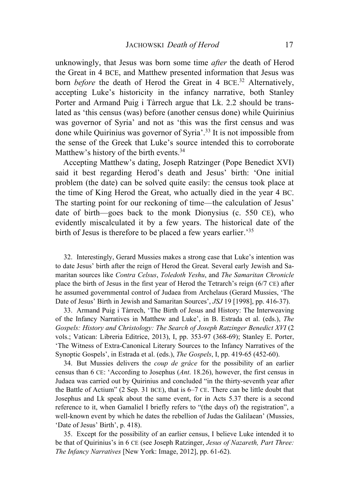unknowingly, that Jesus was born some time *after* the death of Herod the Great in 4 BCE, and Matthew presented information that Jesus was born *before* the death of Herod the Great in 4 BCE. <sup>32</sup> Alternatively, accepting Luke's historicity in the infancy narrative, both Stanley Porter and Armand Puig i Tàrrech argue that Lk. 2.2 should be translated as 'this census (was) before (another census done) while Quirinius was governor of Syria' and not as 'this was the first census and was done while Quirinius was governor of Syria'.33 It is not impossible from the sense of the Greek that Luke's source intended this to corroborate Matthew's history of the birth events.<sup>34</sup>

Accepting Matthew's dating, Joseph Ratzinger (Pope Benedict XVI) said it best regarding Herod's death and Jesus' birth: 'One initial problem (the date) can be solved quite easily: the census took place at the time of King Herod the Great, who actually died in the year 4 BC. The starting point for our reckoning of time—the calculation of Jesus' date of birth—goes back to the monk Dionysius (c. 550 CE), who evidently miscalculated it by a few years. The historical date of the birth of Jesus is therefore to be placed a few years earlier.<sup>35</sup>

32. Interestingly, Gerard Mussies makes a strong case that Luke's intention was to date Jesus' birth after the reign of Herod the Great. Several early Jewish and Samaritan sources like *Contra Celsus*, *Toledoth Yeshu*, and *The Samaritan Chronicle* place the birth of Jesus in the first year of Herod the Tetrarch's reign (6/7 CE) after he assumed governmental control of Judaea from Archelaus (Gerard Mussies, 'The Date of Jesus' Birth in Jewish and Samaritan Sources', *JSJ* 19 [1998], pp. 416-37).

33. Armand Puig i Tàrrech, 'The Birth of Jesus and History: The Interweaving of the Infancy Narratives in Matthew and Luke', in B. Estrada et al. (eds.), *The Gospels: History and Christology: The Search of Joseph Ratzinger Benedict XVI* (2 vols.; Vatican: Libreria Editrice, 2013), I, pp. 353-97 (368-69); Stanley E. Porter, 'The Witness of Extra-Canonical Literary Sources to the Infancy Narratives of the Synoptic Gospels', in Estrada et al. (eds.), *The Gospels*, I, pp. 419-65 (452-60).

34. But Mussies delivers the *coup de grâce* for the possibility of an earlier census than 6 CE: 'According to Josephus (*Ant*. 18.26), however, the first census in Judaea was carried out by Quirinius and concluded "in the thirty-seventh year after the Battle of Actium" (2 Sep. 31 BCE), that is 6–7 CE. There can be little doubt that Josephus and Lk speak about the same event, for in Acts 5.37 there is a second reference to it, when Gamaliel I briefly refers to "(the days of) the registration", a well-known event by which he dates the rebellion of Judas the Galilaean' (Mussies, 'Date of Jesus' Birth', p. 418).

35. Except for the possibility of an earlier census, I believe Luke intended it to be that of Quirinius's in 6 CE (see Joseph Ratzinger, *Jesus of Nazareth, Part Three: The Infancy Narratives* [New York: Image, 2012], pp. 61-62).